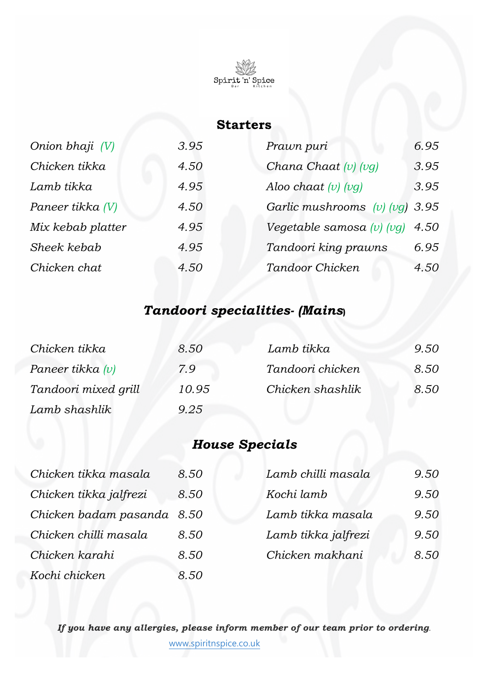

## **Starters**

| Onion bhaji (V)   | 3.95 | Prawn puri                       | 6.95 |
|-------------------|------|----------------------------------|------|
| Chicken tikka     | 4.50 | Chana Chaat $(v)$ $(vg)$         | 3.95 |
| Lamb tikka        | 4.95 | Aloo chaat $(v)$ $(vq)$          | 3.95 |
| Paneer tikka (V)  | 4.50 | Garlic mushrooms $(v)$ (vg) 3.95 |      |
| Mix kebab platter | 4.95 | Vegetable samosa $(v)$ $(vq)$    | 4.50 |
| Sheek kebab       | 4.95 | Tandoori king prawns             | 6.95 |
| Chicken chat      | 4.50 | Tandoor Chicken                  | 4.50 |

# *Tandoori specialities- (Mains***)**

| Chicken tikka        | 8.50  | Lamb tikka       | 9.50 |
|----------------------|-------|------------------|------|
| Paneer tikka $(v)$   | 7.9   | Tandoori chicken | 8.50 |
| Tandoori mixed grill | 10.95 | Chicken shashlik | 8.50 |
| Lamb shashlik        | 9.25  |                  |      |

# *House Specials*

| Chicken tikka masala       | 8.50 | Lamb chilli masala  | 9.50 |
|----------------------------|------|---------------------|------|
| Chicken tikka jalfrezi     | 8.50 | Kochi lamb          | 9.50 |
| Chicken badam pasanda 8.50 |      | Lamb tikka masala   | 9.50 |
| Chicken chilli masala      | 8.50 | Lamb tikka jalfrezi | 9.50 |
| Chicken karahi             | 8.50 | Chicken makhani     | 8.50 |
| Kochi chicken              | 8.50 |                     |      |

*If you have any allergies, please inform member of our team prior to ordering*.

www.spiritnspice.co.uk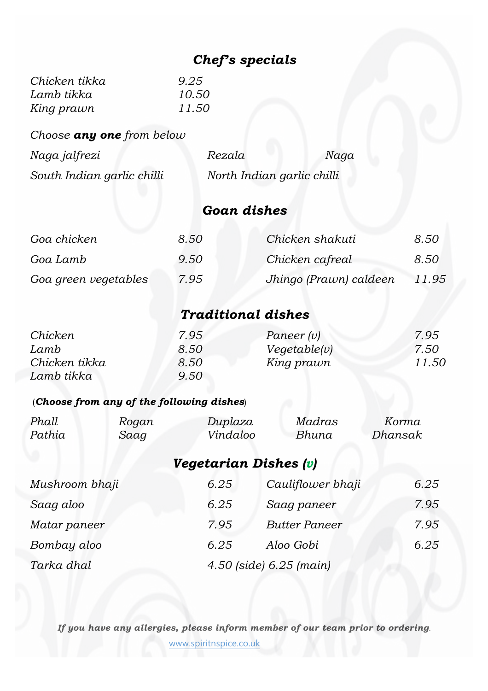# *Chef's specials*

| Chicken tikka | 9.25  |
|---------------|-------|
| Lamb tikka    | 10.50 |
| King prawn    | 11.50 |

*Choose any one from below*

| Naga jalfrezi              | Rezala                     | Naga |
|----------------------------|----------------------------|------|
| South Indian garlic chilli | North Indian garlic chilli |      |

# *Goan dishes*

| Goa chicken          | 8.50 | Chicken shakuti        | 8.50  |
|----------------------|------|------------------------|-------|
| Goa Lamb             | 9.50 | Chicken cafreal        | 8.50  |
| Goa green vegetables | 7.95 | Jhingo (Prawn) caldeen | 11.95 |

# *Traditional dishes*

| Chicken       | 7.95 | Paneer $(v)$ | 7.95  |
|---------------|------|--------------|-------|
| Lamb          | 8.50 | Vegetable(v) | 7.50  |
| Chicken tikka | 8.50 | King prawn   | 11.50 |
| Lamb tikka    | 9.50 |              |       |

## (*Choose from any of the following dishes*)

| Phall  | Rogan | Duplaza  | Madras | Korma   |
|--------|-------|----------|--------|---------|
| Pathia | Saag  | Vindaloo | Bhuna  | Dhansak |

*Vegetarian Dishes (v)*

| Mushroom bhaji | 6.25 | Cauliflower bhaji       | 6.25 |
|----------------|------|-------------------------|------|
| Saag aloo      | 6.25 | Saag paneer             | 7.95 |
| Matar paneer   | 7.95 | <b>Butter Paneer</b>    | 7.95 |
| Bombay aloo    | 6.25 | Aloo Gobi               | 6.25 |
| Tarka dhal     |      | 4.50 (side) 6.25 (main) |      |

*If you have any allergies, please inform member of our team prior to ordering*.

www.spiritnspice.co.uk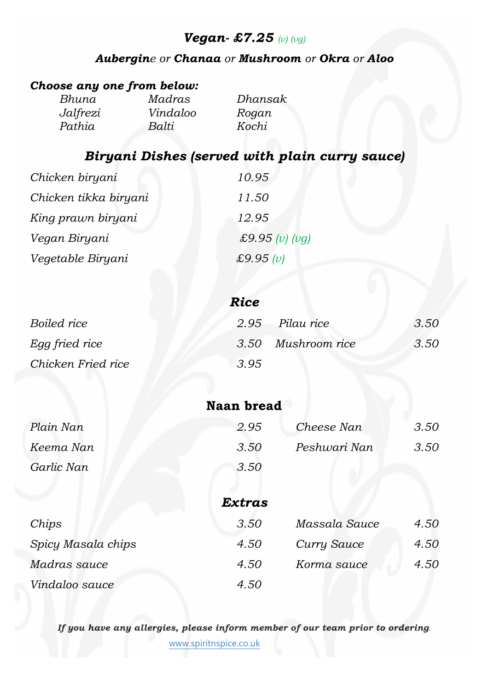# *Vegan- £7.25 (v) (vg)*

## *Aubergine or Chanaa or Mushroom or Okra or Aloo*

## *Choose any one from below:*

| Bhuna    | Madras   | Dhansak |
|----------|----------|---------|
| Jalfrezi | Vindaloo | Rogan   |
| Pathia   | Balti    | Kochi   |

# *Biryani Dishes (served with plain curry sauce)*

| Chicken biryani       | 10.95              |
|-----------------------|--------------------|
| Chicken tikka biryani | 11.50              |
| King prawn biryani    | 12.95              |
| Vegan Biryani         | £9.95 $(v)$ $(vg)$ |
| Vegetable Biryani     | £9.95 $(v)$        |

|                    | Rice               |      |
|--------------------|--------------------|------|
| Boiled rice        | 2.95 Pilau rice    | 3.50 |
| Egg fried rice     | 3.50 Mushroom rice | 3.50 |
| Chicken Fried rice | 3.95               |      |

|            | naan biyaa |              |      |
|------------|------------|--------------|------|
| Plain Nan  | 2.95       | Cheese Nan   | 3.50 |
| Keema Nan  | 3.50       | Peshwari Nan | 3.50 |
| Garlic Nan | 3.50       |              |      |

**Naan bread**

|                    | <b>Extras</b> |               |      |
|--------------------|---------------|---------------|------|
| Chips              | 3.50          | Massala Sauce | 4.50 |
| Spicy Masala chips | 4.50          | Curry Sauce   | 4.50 |
| Madras sauce       | 4.50          | Korma sauce   | 4.50 |
| Vindaloo sauce     | 4.50          |               |      |

*If you have any allergies, please inform member of our team prior to ordering*.

www.spiritnspice.co.uk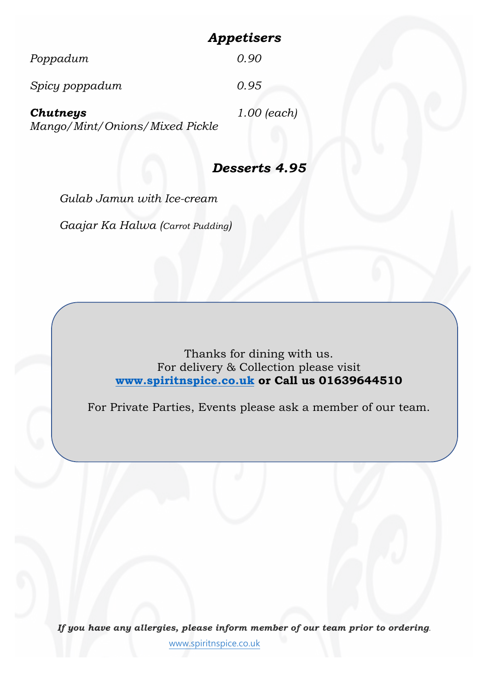# *Appetisers*

| Mango/Mint/Onions/Mixed Pickle |               |
|--------------------------------|---------------|
| <b>Chutneys</b>                | $1.00$ (each) |
| Spicy poppadum                 | 0.95          |
| Poppadum                       | 0.90          |

## *Desserts 4.95*

*Gulab Jamun with Ice-cream Gaajar Ka Halwa (Carrot Pudding)*

> Thanks for dining with us. For delivery & Collection please visit **www.spiritnspice.co.uk or Call us 01639644510**

For Private Parties, Events please ask a member of our team.

*If you have any allergies, please inform member of our team prior to ordering*. www.spiritnspice.co.uk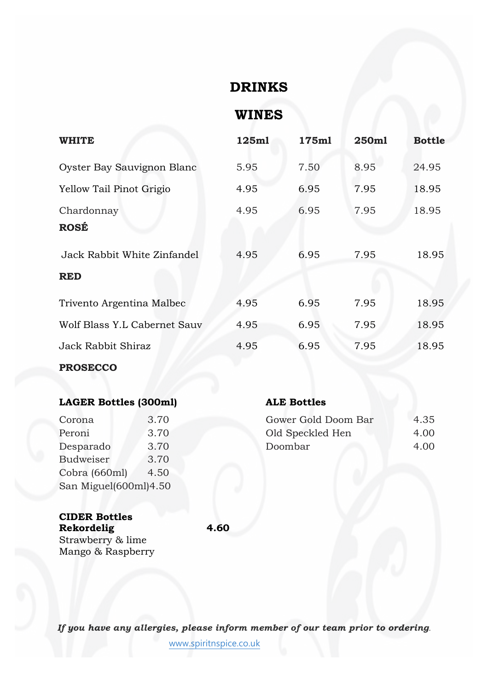## **DRINKS**

**WINES**

| <b>WHITE</b>                              | 125ml | 175ml | 250ml | <b>Bottle</b> |
|-------------------------------------------|-------|-------|-------|---------------|
| Oyster Bay Sauvignon Blanc                | 5.95  | 7.50  | 8.95  | 24.95         |
| Yellow Tail Pinot Grigio                  | 4.95  | 6.95  | 7.95  | 18.95         |
| Chardonnay<br><b>ROSÉ</b>                 | 4.95  | 6.95  | 7.95  | 18.95         |
| Jack Rabbit White Zinfandel<br><b>RED</b> | 4.95  | 6.95  | 7.95  | 18.95         |
| Trivento Argentina Malbec                 | 4.95  | 6.95  | 7.95  | 18.95         |
| Wolf Blass Y.L Cabernet Sauv              | 4.95  | 6.95  | 7.95  | 18.95         |
| Jack Rabbit Shiraz                        | 4.95  | 6.95  | 7.95  | 18.95         |

### **PROSECCO**

## **LAGER Bottles (300ml) ALE Bottles**

| 3.70                  |  |  |
|-----------------------|--|--|
| 3.70                  |  |  |
| 3.70                  |  |  |
| 3.70                  |  |  |
| 4.50                  |  |  |
| San Miguel(600ml)4.50 |  |  |
|                       |  |  |

| Corona    | 3.70 | Gower Gold Doom Bar | 4.35 |
|-----------|------|---------------------|------|
| Peroni    | 3.70 | Old Speckled Hen    | 4.00 |
| Desparado | 3.70 | Doombar             | 4.00 |

### **CIDER Bottles Rekordelig 4.60** Strawberry & lime

Mango & Raspberry

*If you have any allergies, please inform member of our team prior to ordering*.